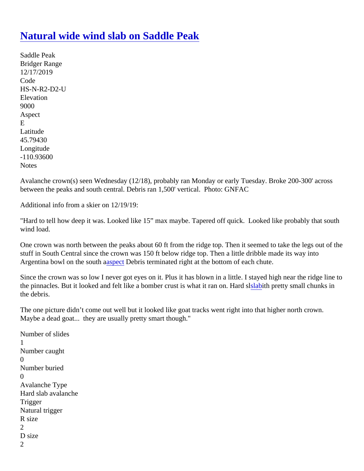## [Natural wide wind slab on Saddle Pea](https://www.mtavalanche.com/node/21283)k

Saddle Peak Bridger Range 12/17/2019 Code HS-N-R2-D2-U Elevation 9000 Aspect E Latitude 45.79430 Longitude -110.93600 **Notes** 

Avalanche crown(s) seen Wednesday (12/18), probably ran Monday or early Tuesday. Broke 200-300' across between the peaks and south central. Debris ran 1,500' vertical. Photo: GNFAC

Additional info from a skier on 12/19/19:

"Hard to tell how deep it was. Looked like 15" max maybe. Tapered off quick. Looked like probably that south wind load.

One crown was north between the peaks about 60 ft from the ridge top. Then it seemed to take the legs out c stuff in South Central since the crown was 150 ft below ridge top. Then a little dribble made its way into Argentinabowl on the south apect Debris terminated right at the bottom of each chute.

Since the crown was so low I never got eyes on it. Plus it has blown in a little. I stayed high near the ridge line the pinnacles. But it looked and felt like a bomber crust is what it ran on. [Hard](https://www.mtavalanche.com/taxonomy/term/304) the small chunks in the debris.

The one picture didn't come out well but it looked like goat tracks went right into that higher north crown. Maybe a dead goat... they are usually pretty smart though."

```
Number of slides
1
Number caught
\OmegaNumber buried
0
Avalanche Type
Hard slab avalanche
Trigger
Natural trigger
R size
2
D size
2
```